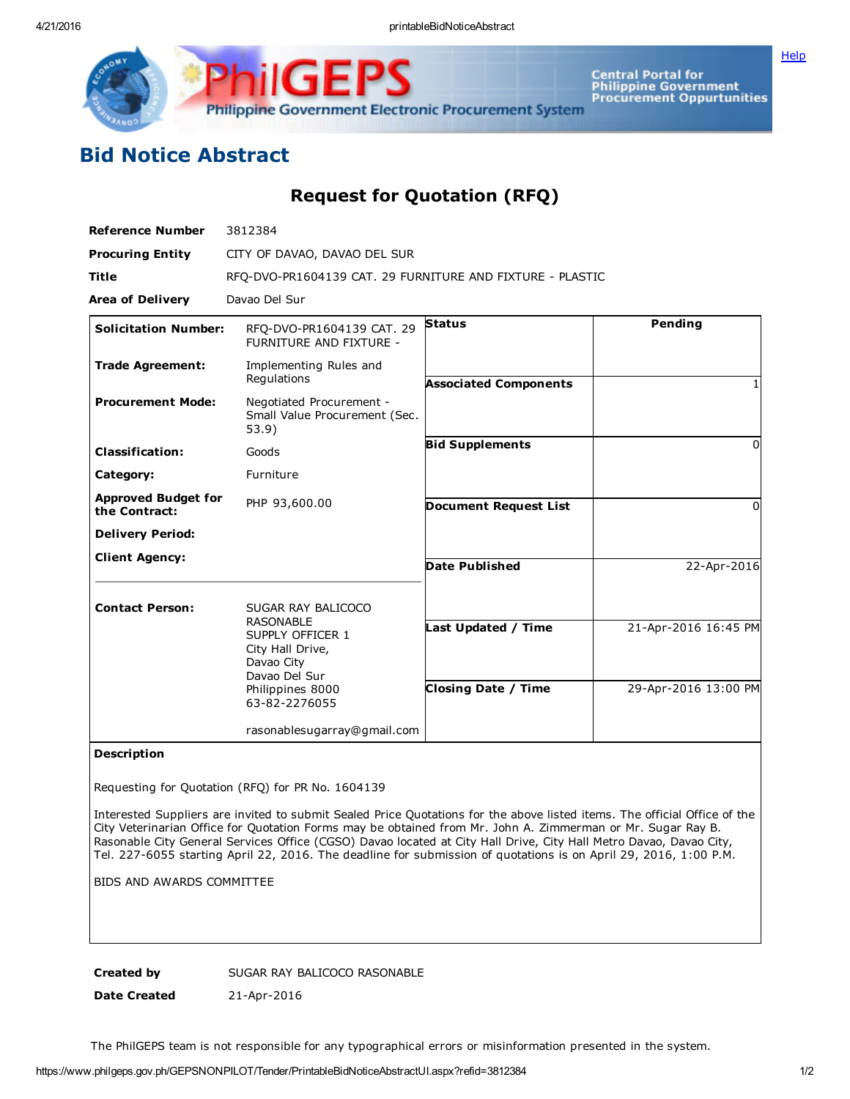**[Help](javascript:void(window.open()** 



Central Portal for<br>Philippine Government<br>Procurement Oppurtunities

## Bid Notice Abstract

Request for Quotation (RFQ)

| <b>Reference Number</b>                     | 3812384                                                                                                                                            |                                                   |                                              |
|---------------------------------------------|----------------------------------------------------------------------------------------------------------------------------------------------------|---------------------------------------------------|----------------------------------------------|
| <b>Procuring Entity</b>                     | CITY OF DAVAO, DAVAO DEL SUR                                                                                                                       |                                                   |                                              |
| <b>Title</b>                                | RFQ-DVO-PR1604139 CAT. 29 FURNITURE AND FIXTURE - PLASTIC                                                                                          |                                                   |                                              |
| <b>Area of Delivery</b>                     | Davao Del Sur                                                                                                                                      |                                                   |                                              |
| <b>Solicitation Number:</b>                 | RFO-DVO-PR1604139 CAT. 29<br>FURNITURE AND FIXTURE -                                                                                               | <b>Status</b>                                     | Pending                                      |
| <b>Trade Agreement:</b>                     | Implementing Rules and<br>Regulations                                                                                                              | <b>Associated Components</b>                      |                                              |
| <b>Procurement Mode:</b>                    | Negotiated Procurement -<br>Small Value Procurement (Sec.<br>53.9)                                                                                 |                                                   |                                              |
| <b>Classification:</b>                      | Goods                                                                                                                                              | <b>Bid Supplements</b>                            | $\Omega$                                     |
| Category:                                   | Furniture                                                                                                                                          |                                                   |                                              |
| <b>Approved Budget for</b><br>the Contract: | PHP 93,600.00                                                                                                                                      | <b>Document Request List</b>                      | 0                                            |
| <b>Delivery Period:</b>                     |                                                                                                                                                    |                                                   |                                              |
| <b>Client Agency:</b>                       |                                                                                                                                                    | Date Published                                    | 22-Apr-2016                                  |
| <b>Contact Person:</b>                      | SUGAR RAY BALICOCO<br><b>RASONABLE</b><br>SUPPLY OFFICER 1<br>City Hall Drive,<br>Davao City<br>Davao Del Sur<br>Philippines 8000<br>63-82-2276055 | Last Updated / Time<br><b>Closing Date / Time</b> | 21-Apr-2016 16:45 PM<br>29-Apr-2016 13:00 PM |
|                                             | rasonablesugarray@gmail.com                                                                                                                        |                                                   |                                              |

Description

Requesting for Quotation (RFQ) for PR No. 1604139

Interested Suppliers are invited to submit Sealed Price Quotations for the above listed items. The official Office of the City Veterinarian Office for Quotation Forms may be obtained from Mr. John A. Zimmerman or Mr. Sugar Ray B. Rasonable City General Services Office (CGSO) Davao located at City Hall Drive, City Hall Metro Davao, Davao City, Tel. 227-6055 starting April 22, 2016. The deadline for submission of quotations is on April 29, 2016, 1:00 P.M.

BIDS AND AWARDS COMMITTEE

Created by SUGAR RAY BALICOCO RASONABLE

Date Created 21-Apr-2016

The PhilGEPS team is not responsible for any typographical errors or misinformation presented in the system.